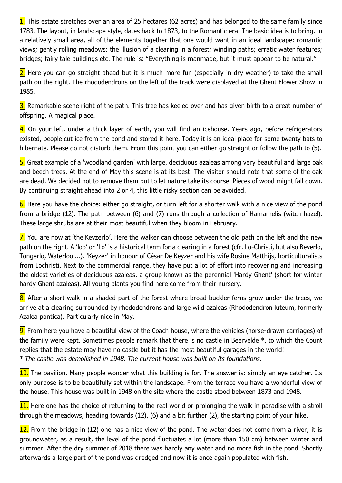1. This estate stretches over an area of 25 hectares (62 acres) and has belonged to the same family since 1783. The layout, in landscape style, dates back to 1873, to the Romantic era. The basic idea is to bring, in a relatively small area, all of the elements together that one would want in an ideal landscape: romantic views; gently rolling meadows; the illusion of a clearing in a forest; winding paths; erratic water features; bridges; fairy tale buildings etc. The rule is: "Everything is manmade, but it must appear to be natural."

 $2$ . Here you can go straight ahead but it is much more fun (especially in dry weather) to take the small path on the right. The rhododendrons on the left of the track were displayed at the Ghent Flower Show in 1985.

3. Remarkable scene right of the path. This tree has keeled over and has given birth to a great number of offspring. A magical place.

4. On your left, under a thick layer of earth, you will find an icehouse. Years ago, before refrigerators existed, people cut ice from the pond and stored it here. Today it is an ideal place for some twenty bats to hibernate. Please do not disturb them. From this point you can either go straight or follow the path to (5).

5. Great example of a 'woodland garden' with large, deciduous azaleas among very beautiful and large oak and beech trees. At the end of May this scene is at its best. The visitor should note that some of the oak are dead. We decided not to remove them but to let nature take its course. Pieces of wood might fall down. By continuing straight ahead into 2 or 4, this little risky section can be avoided.

6. Here you have the choice: either go straight, or turn left for a shorter walk with a nice view of the pond from a bridge (12). The path between (6) and (7) runs through a collection of Hamamelis (witch hazel). These large shrubs are at their most beautiful when they bloom in February.

 $\overline{2}$ . You are now at 'the Keyzerlo'. Here the walker can choose between the old path on the left and the new path on the right. A 'loo' or 'Lo' is a historical term for a clearing in a forest (cfr. Lo-Christi, but also Beverlo, Tongerlo, Waterloo ...). 'Keyzer' in honour of César De Keyzer and his wife Rosine Matthijs, horticulturalists from Lochristi. Next to the commercial range, they have put a lot of effort into recovering and increasing the oldest varieties of deciduous azaleas, a group known as the perennial 'Hardy Ghent' (short for winter hardy Ghent azaleas). All young plants you find here come from their nursery.

8. After a short walk in a shaded part of the forest where broad buckler ferns grow under the trees, we arrive at a clearing surrounded by rhododendrons and large wild azaleas (Rhododendron luteum, formerly Azalea pontica). Particularly nice in May.

9. From here you have a beautiful view of the Coach house, where the vehicles (horse-drawn carriages) of the family were kept. Sometimes people remark that there is no castle in Beervelde \*, to which the Count replies that the estate may have no castle but it has the most beautiful garages in the world! *\* The castle was demolished in 1948. The current house was built on its foundations.*

10. The pavilion. Many people wonder what this building is for. The answer is: simply an eye catcher. Its only purpose is to be beautifully set within the landscape. From the terrace you have a wonderful view of the house. This house was built in 1948 on the site where the castle stood between 1873 and 1948.

11. Here one has the choice of returning to the real world or prolonging the walk in paradise with a stroll through the meadows, heading towards (12), (6) and a bit further (2), the starting point of your hike.

 $12.$  From the bridge in (12) one has a nice view of the pond. The water does not come from a river; it is groundwater, as a result, the level of the pond fluctuates a lot (more than 150 cm) between winter and summer. After the dry summer of 2018 there was hardly any water and no more fish in the pond. Shortly afterwards a large part of the pond was dredged and now it is once again populated with fish.